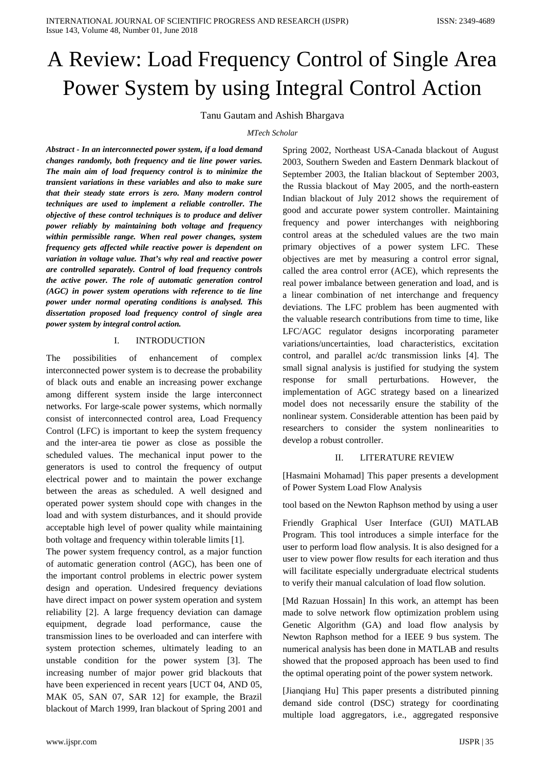# A Review: Load Frequency Control of Single Area Power System by using Integral Control Action

Tanu Gautam and Ashish Bhargava

### *MTech Scholar*

*Abstract - In an interconnected power system, if a load demand changes randomly, both frequency and tie line power varies. The main aim of load frequency control is to minimize the transient variations in these variables and also to make sure that their steady state errors is zero. Many modern control techniques are used to implement a reliable controller. The objective of these control techniques is to produce and deliver power reliably by maintaining both voltage and frequency within permissible range. When real power changes, system frequency gets affected while reactive power is dependent on variation in voltage value. That's why real and reactive power are controlled separately. Control of load frequency controls the active power. The role of automatic generation control (AGC) in power system operations with reference to tie line power under normal operating conditions is analysed. This dissertation proposed load frequency control of single area power system by integral control action.*

## I. INTRODUCTION

The possibilities of enhancement of complex interconnected power system is to decrease the probability of black outs and enable an increasing power exchange among different system inside the large interconnect networks. For large-scale power systems, which normally consist of interconnected control area, Load Frequency Control (LFC) is important to keep the system frequency and the inter-area tie power as close as possible the scheduled values. The mechanical input power to the generators is used to control the frequency of output electrical power and to maintain the power exchange between the areas as scheduled. A well designed and operated power system should cope with changes in the load and with system disturbances, and it should provide acceptable high level of power quality while maintaining both voltage and frequency within tolerable limits [1].

The power system frequency control, as a major function of automatic generation control (AGC), has been one of the important control problems in electric power system design and operation. Undesired frequency deviations have direct impact on power system operation and system reliability [2]. A large frequency deviation can damage equipment, degrade load performance, cause the transmission lines to be overloaded and can interfere with system protection schemes, ultimately leading to an unstable condition for the power system [3]. The increasing number of major power grid blackouts that have been experienced in recent years [UCT 04, AND 05, MAK 05, SAN 07, SAR 12] for example, the Brazil blackout of March 1999, Iran blackout of Spring 2001 and

Spring 2002, Northeast USA-Canada blackout of August 2003, Southern Sweden and Eastern Denmark blackout of September 2003, the Italian blackout of September 2003, the Russia blackout of May 2005, and the north-eastern Indian blackout of July 2012 shows the requirement of good and accurate power system controller. Maintaining frequency and power interchanges with neighboring control areas at the scheduled values are the two main primary objectives of a power system LFC. These objectives are met by measuring a control error signal, called the area control error (ACE), which represents the real power imbalance between generation and load, and is a linear combination of net interchange and frequency deviations. The LFC problem has been augmented with the valuable research contributions from time to time, like LFC/AGC regulator designs incorporating parameter variations/uncertainties, load characteristics, excitation control, and parallel ac/dc transmission links [4]. The small signal analysis is justified for studying the system response for small perturbations. However, the implementation of AGC strategy based on a linearized model does not necessarily ensure the stability of the nonlinear system. Considerable attention has been paid by researchers to consider the system nonlinearities to develop a robust controller.

## II. LITERATURE REVIEW

[Hasmaini Mohamad] This paper presents a development of Power System Load Flow Analysis

tool based on the Newton Raphson method by using a user

Friendly Graphical User Interface (GUI) MATLAB Program. This tool introduces a simple interface for the user to perform load flow analysis. It is also designed for a user to view power flow results for each iteration and thus will facilitate especially undergraduate electrical students to verify their manual calculation of load flow solution.

[Md Razuan Hossain] In this work, an attempt has been made to solve network flow optimization problem using Genetic Algorithm (GA) and load flow analysis by Newton Raphson method for a IEEE 9 bus system. The numerical analysis has been done in MATLAB and results showed that the proposed approach has been used to find the optimal operating point of the power system network.

[Jianqiang Hu] This paper presents a distributed pinning demand side control (DSC) strategy for coordinating multiple load aggregators, i.e., aggregated responsive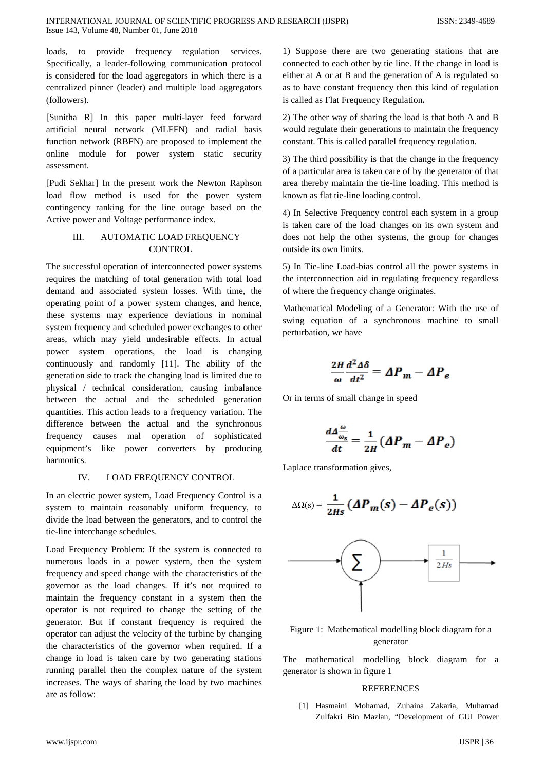loads, to provide frequency regulation services. Specifically, a leader-following communication protocol is considered for the load aggregators in which there is a centralized pinner (leader) and multiple load aggregators (followers).

[Sunitha R] In this paper multi-layer feed forward artificial neural network (MLFFN) and radial basis function network (RBFN) are proposed to implement the online module for power system static security assessment.

[Pudi Sekhar] In the present work the Newton Raphson load flow method is used for the power system contingency ranking for the line outage based on the Active power and Voltage performance index.

# III. AUTOMATIC LOAD FREQUENCY **CONTROL**

The successful operation of interconnected power systems requires the matching of total generation with total load demand and associated system losses. With time, the operating point of a power system changes, and hence, these systems may experience deviations in nominal system frequency and scheduled power exchanges to other areas, which may yield undesirable effects. In actual power system operations, the load is changing continuously and randomly [11]. The ability of the generation side to track the changing load is limited due to physical / technical consideration, causing imbalance between the actual and the scheduled generation quantities. This action leads to a frequency variation. The difference between the actual and the synchronous frequency causes mal operation of sophisticated equipment's like power converters by producing harmonics.

## IV. LOAD FREQUENCY CONTROL

In an electric power system, Load Frequency Control is a system to maintain reasonably uniform frequency, to divide the load between the generators, and to control the tie-line interchange schedules.

Load Frequency Problem: If the system is connected to numerous loads in a power system, then the system frequency and speed change with the characteristics of the governor as the load changes. If it's not required to maintain the frequency constant in a system then the operator is not required to change the setting of the generator. But if constant frequency is required the operator can adjust the velocity of the turbine by changing the characteristics of the governor when required. If a change in load is taken care by two generating stations running parallel then the complex nature of the system increases. The ways of sharing the load by two machines are as follow:

1) Suppose there are two generating stations that are connected to each other by tie line. If the change in load is either at A or at B and the generation of A is regulated so as to have constant frequency then this kind of regulation is called as Flat Frequency Regulation**.** 

2) The other way of sharing the load is that both A and B would regulate their generations to maintain the frequency constant. This is called parallel frequency regulation.

3) The third possibility is that the change in the frequency of a particular area is taken care of by the generator of that area thereby maintain the tie-line loading. This method is known as flat tie-line loading control.

4) In Selective Frequency control each system in a group is taken care of the load changes on its own system and does not help the other systems, the group for changes outside its own limits.

5) In Tie-line Load-bias control all the power systems in the interconnection aid in regulating frequency regardless of where the frequency change originates.

Mathematical Modeling of a Generator: With the use of swing equation of a synchronous machine to small perturbation, we have

$$
\frac{2H}{\omega}\frac{d^2\Delta\delta}{dt^2} = \Delta P_m - \Delta P_e
$$

Or in terms of small change in speed

$$
\frac{d\Delta \frac{\omega}{\omega_s}}{dt} = \frac{1}{2H} \left( \Delta P_m - \Delta P_e \right)
$$

Laplace transformation gives,

$$
\Delta\Omega(s) = \frac{1}{2Hs} \left( \Delta P_m(s) - \Delta P_e(s) \right)
$$



## Figure 1: Mathematical modelling block diagram for a generator

The mathematical modelling block diagram for a generator is shown in figure 1

### **REFERENCES**

[1] Hasmaini Mohamad, Zuhaina Zakaria, Muhamad Zulfakri Bin Mazlan, "Development of GUI Power